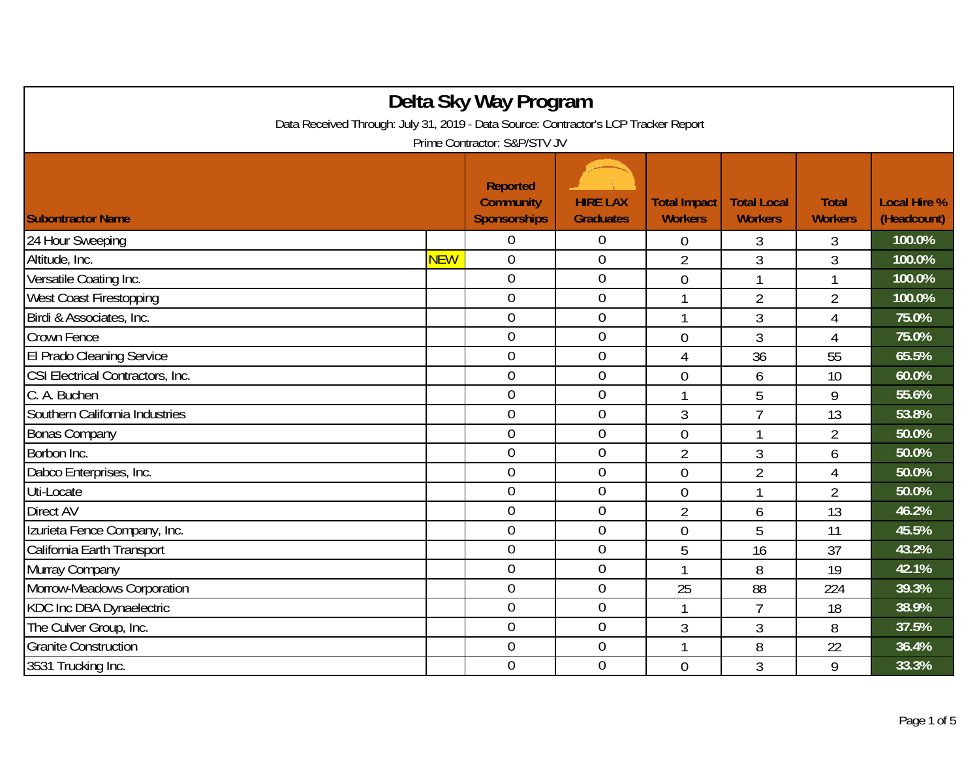| Delta Sky Way Program                                                               |            |                                                            |                                     |                                       |                                      |                                |                                    |  |
|-------------------------------------------------------------------------------------|------------|------------------------------------------------------------|-------------------------------------|---------------------------------------|--------------------------------------|--------------------------------|------------------------------------|--|
| Data Received Through: July 31, 2019 - Data Source: Contractor's LCP Tracker Report |            |                                                            |                                     |                                       |                                      |                                |                                    |  |
| Prime Contractor: S&P/STV JV                                                        |            |                                                            |                                     |                                       |                                      |                                |                                    |  |
| <b>Subontractor Name</b>                                                            |            | <b>Reported</b><br><b>Community</b><br><b>Sponsorships</b> | <b>HIRE LAX</b><br><b>Graduates</b> | <b>Total Impact</b><br><b>Workers</b> | <b>Total Local</b><br><b>Workers</b> | <b>Total</b><br><b>Workers</b> | <b>Local Hire %</b><br>(Headcount) |  |
| 24 Hour Sweeping                                                                    |            | 0                                                          | $\overline{0}$                      | $\overline{0}$                        | 3                                    | 3                              | 100.0%                             |  |
| Altitude, Inc.                                                                      | <b>NEW</b> | $\overline{0}$                                             | $\mathbf 0$                         | $\overline{2}$                        | 3                                    | 3                              | 100.0%                             |  |
| Versatile Coating Inc.                                                              |            | $\overline{0}$                                             | $\boldsymbol{0}$                    | $\mathbf 0$                           | 1                                    | 1                              | 100.0%                             |  |
| <b>West Coast Firestopping</b>                                                      |            | $\overline{0}$                                             | $\overline{0}$                      |                                       | $\overline{2}$                       | $\overline{2}$                 | 100.0%                             |  |
| Birdi & Associates, Inc.                                                            |            | $\overline{0}$                                             | $\mathbf 0$                         |                                       | 3                                    | 4                              | 75.0%                              |  |
| Crown Fence                                                                         |            | $\overline{0}$                                             | $\boldsymbol{0}$                    | $\overline{0}$                        | 3                                    | $\overline{4}$                 | 75.0%                              |  |
| El Prado Cleaning Service                                                           |            | $\overline{0}$                                             | $\boldsymbol{0}$                    | 4                                     | 36                                   | 55                             | 65.5%                              |  |
| CSI Electrical Contractors, Inc.                                                    |            | $\overline{0}$                                             | $\overline{0}$                      | $\overline{0}$                        | 6                                    | 10                             | 60.0%                              |  |
| C. A. Buchen                                                                        |            | $\overline{0}$                                             | $\mathbf 0$                         |                                       | 5                                    | 9                              | 55.6%                              |  |
| Southern California Industries                                                      |            | $\overline{0}$                                             | $\boldsymbol{0}$                    | 3                                     | $\overline{7}$                       | 13                             | 53.8%                              |  |
| <b>Bonas Company</b>                                                                |            | $\mathbf 0$                                                | $\boldsymbol{0}$                    | $\mathbf 0$                           | 1                                    | $\overline{2}$                 | 50.0%                              |  |
| Borbon Inc.                                                                         |            | $\overline{0}$                                             | $\mathbf 0$                         | $\overline{2}$                        | 3                                    | 6                              | 50.0%                              |  |
| Dabco Enterprises, Inc.                                                             |            | $\overline{0}$                                             | $\overline{0}$                      | $\overline{0}$                        | $\overline{2}$                       | 4                              | 50.0%                              |  |
| Uti-Locate                                                                          |            | $\overline{0}$                                             | $\mathbf 0$                         | $\overline{0}$                        | 1                                    | $\overline{2}$                 | 50.0%                              |  |
| Direct AV                                                                           |            | $\overline{0}$                                             | $\boldsymbol{0}$                    | $\overline{2}$                        | 6                                    | 13                             | 46.2%                              |  |
| Izurieta Fence Company, Inc.                                                        |            | $\overline{0}$                                             | $\boldsymbol{0}$                    | $\overline{0}$                        | 5                                    | 11                             | 45.5%                              |  |
| California Earth Transport                                                          |            | $\overline{0}$                                             | $\overline{0}$                      | 5                                     | 16                                   | 37                             | 43.2%                              |  |
| Murray Company                                                                      |            | $\overline{0}$                                             | $\boldsymbol{0}$                    |                                       | 8                                    | 19                             | 42.1%                              |  |
| Morrow-Meadows Corporation                                                          |            | $\overline{0}$                                             | $\boldsymbol{0}$                    | 25                                    | 88                                   | 224                            | 39.3%                              |  |
| KDC Inc DBA Dynaelectric                                                            |            | $\boldsymbol{0}$                                           | $\boldsymbol{0}$                    | $\overline{1}$                        | $\overline{7}$                       | 18                             | 38.9%                              |  |
| The Culver Group, Inc.                                                              |            | $\overline{0}$                                             | $\theta$                            | 3                                     | 3                                    | 8                              | 37.5%                              |  |
| <b>Granite Construction</b>                                                         |            | $\overline{0}$                                             | $\overline{0}$                      | $\mathbf{1}$                          | 8                                    | 22                             | 36.4%                              |  |
| 3531 Trucking Inc.                                                                  |            | $\overline{0}$                                             | $\overline{0}$                      | $\theta$                              | 3                                    | 9                              | 33.3%                              |  |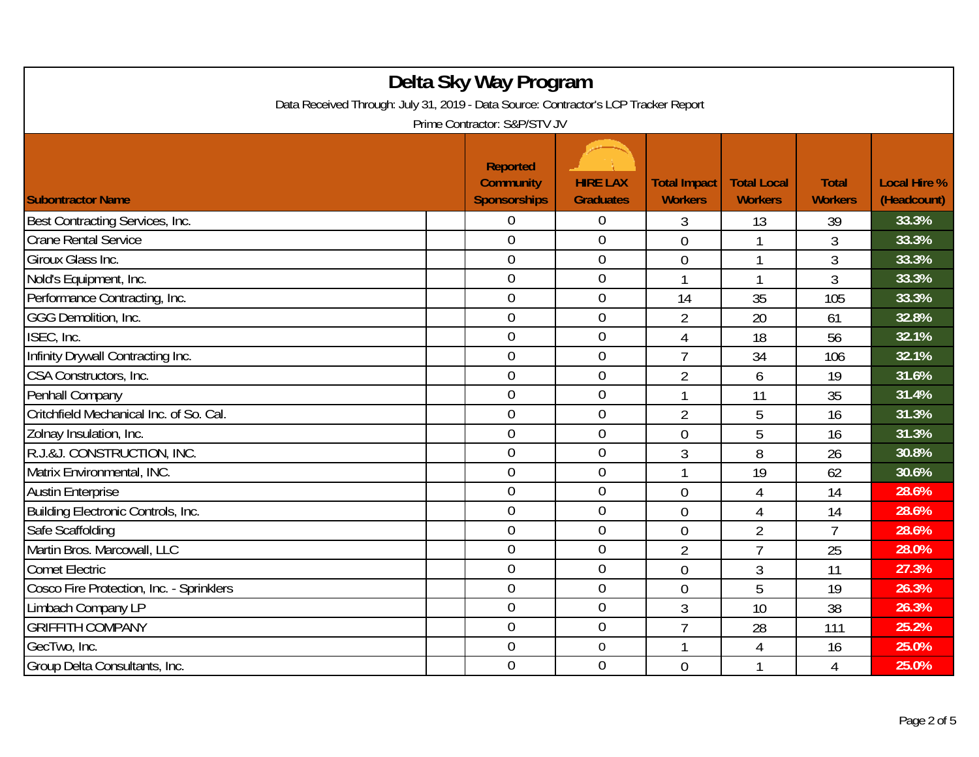| Delta Sky Way Program<br>Data Received Through: July 31, 2019 - Data Source: Contractor's LCP Tracker Report<br>Prime Contractor: S&P/STV JV |  |                                                            |                                     |                                       |                                      |                                |                                    |  |
|----------------------------------------------------------------------------------------------------------------------------------------------|--|------------------------------------------------------------|-------------------------------------|---------------------------------------|--------------------------------------|--------------------------------|------------------------------------|--|
| <b>Subontractor Name</b>                                                                                                                     |  | <b>Reported</b><br><b>Community</b><br><b>Sponsorships</b> | <b>HIRE LAX</b><br><b>Graduates</b> | <b>Total Impact</b><br><b>Workers</b> | <b>Total Local</b><br><b>Workers</b> | <b>Total</b><br><b>Workers</b> | <b>Local Hire %</b><br>(Headcount) |  |
| Best Contracting Services, Inc.                                                                                                              |  | 0                                                          | $\overline{0}$                      | 3                                     | 13                                   | 39                             | 33.3%                              |  |
| <b>Crane Rental Service</b>                                                                                                                  |  | $\overline{0}$                                             | $\overline{0}$                      | $\overline{0}$                        | 1                                    | 3                              | 33.3%                              |  |
| Giroux Glass Inc.                                                                                                                            |  | $\overline{0}$                                             | $\boldsymbol{0}$                    | $\overline{0}$                        | 1                                    | 3                              | 33.3%                              |  |
| Nold's Equipment, Inc.                                                                                                                       |  | $\overline{0}$                                             | $\mathbf 0$                         | $\mathbf{1}$                          | 1                                    | 3                              | 33.3%                              |  |
| Performance Contracting, Inc.                                                                                                                |  | $\overline{0}$                                             | $\overline{0}$                      | 14                                    | 35                                   | 105                            | 33.3%                              |  |
| GGG Demolition, Inc.                                                                                                                         |  | $\overline{0}$                                             | $\boldsymbol{0}$                    | $\overline{2}$                        | 20                                   | 61                             | 32.8%                              |  |
| ISEC, Inc.                                                                                                                                   |  | $\mathbf 0$                                                | $\mathbf 0$                         | 4                                     | 18                                   | 56                             | 32.1%                              |  |
| Infinity Drywall Contracting Inc.                                                                                                            |  | $\overline{0}$                                             | $\mathbf 0$                         | $\overline{7}$                        | 34                                   | 106                            | 32.1%                              |  |
| CSA Constructors, Inc.                                                                                                                       |  | $\boldsymbol{0}$                                           | $\boldsymbol{0}$                    | $\overline{2}$                        | 6                                    | 19                             | 31.6%                              |  |
| Penhall Company                                                                                                                              |  | $\mathbf 0$                                                | $\mathbf 0$                         | $\overline{1}$                        | 11                                   | 35                             | 31.4%                              |  |
| Critchfield Mechanical Inc. of So. Cal.                                                                                                      |  | $\overline{0}$                                             | $\mathbf 0$                         | $\overline{2}$                        | 5                                    | 16                             | 31.3%                              |  |
| Zolnay Insulation, Inc.                                                                                                                      |  | $\overline{0}$                                             | $\mathbf 0$                         | $\overline{0}$                        | 5                                    | 16                             | 31.3%                              |  |
| R.J.&J. CONSTRUCTION, INC.                                                                                                                   |  | $\overline{0}$                                             | $\mathbf 0$                         | 3                                     | 8                                    | 26                             | 30.8%                              |  |
| Matrix Environmental, INC.                                                                                                                   |  | $\overline{0}$                                             | $\boldsymbol{0}$                    |                                       | 19                                   | 62                             | 30.6%                              |  |
| <b>Austin Enterprise</b>                                                                                                                     |  | $\mathbf 0$                                                | $\boldsymbol{0}$                    | $\overline{0}$                        | 4                                    | 14                             | 28.6%                              |  |
| Building Electronic Controls, Inc.                                                                                                           |  | $\overline{0}$                                             | $\mathbf 0$                         | $\overline{0}$                        | 4                                    | 14                             | 28.6%                              |  |
| Safe Scaffolding                                                                                                                             |  | $\mathbf 0$                                                | $\mathbf 0$                         | $\overline{0}$                        | $\overline{2}$                       | $\overline{7}$                 | 28.6%                              |  |
| Martin Bros. Marcowall, LLC                                                                                                                  |  | $\overline{0}$                                             | $\mathbf 0$                         | $\overline{2}$                        | $\overline{7}$                       | 25                             | 28.0%                              |  |
| <b>Comet Electric</b>                                                                                                                        |  | $\overline{0}$                                             | $\overline{0}$                      | $\overline{0}$                        | 3                                    | 11                             | 27.3%                              |  |
| Cosco Fire Protection, Inc. - Sprinklers                                                                                                     |  | $\boldsymbol{0}$                                           | $\boldsymbol{0}$                    | $\overline{0}$                        | 5                                    | 19                             | 26.3%                              |  |
| Limbach Company LP                                                                                                                           |  | $\mathbf 0$                                                | $\boldsymbol{0}$                    | 3                                     | 10                                   | 38                             | 26.3%                              |  |
| <b>GRIFFITH COMPANY</b>                                                                                                                      |  | $\overline{0}$                                             | $\mathbf 0$                         | $\overline{7}$                        | 28                                   | 111                            | 25.2%                              |  |
| GecTwo, Inc.                                                                                                                                 |  | $\boldsymbol{0}$                                           | $\boldsymbol{0}$                    |                                       | 4                                    | 16                             | 25.0%                              |  |
| Group Delta Consultants, Inc.                                                                                                                |  | 0                                                          | $\overline{0}$                      | $\overline{0}$                        | 1                                    | 4                              | 25.0%                              |  |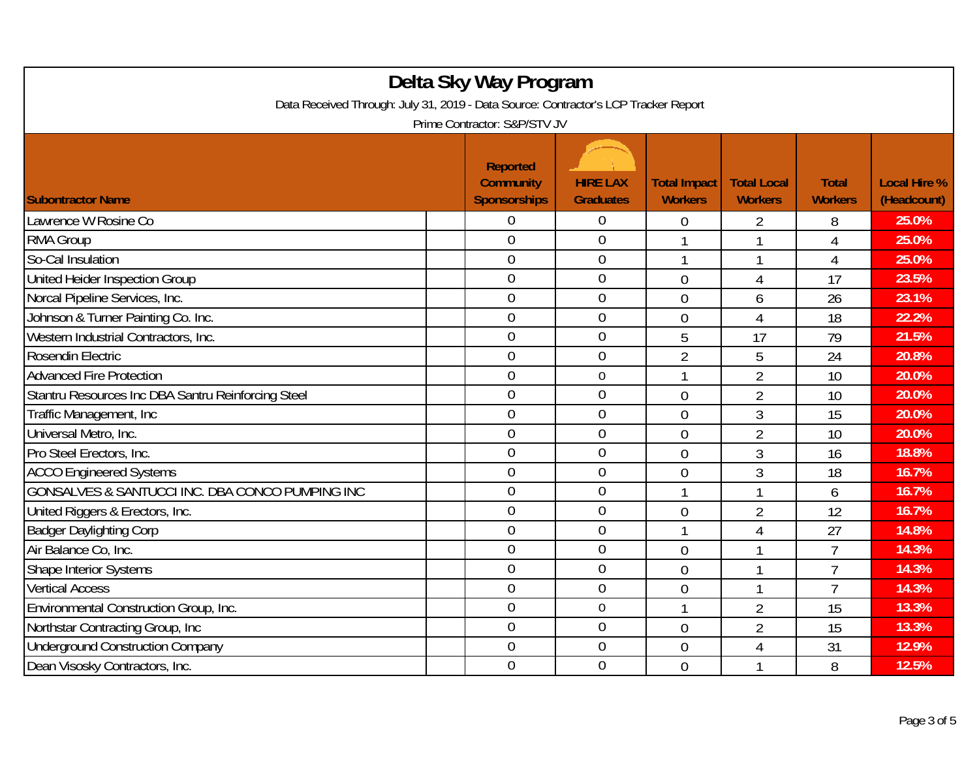| Delta Sky Way Program<br>Data Received Through: July 31, 2019 - Data Source: Contractor's LCP Tracker Report<br>Prime Contractor: S&P/STV JV |                                                            |                                     |                                       |                                      |                                |                                    |  |  |
|----------------------------------------------------------------------------------------------------------------------------------------------|------------------------------------------------------------|-------------------------------------|---------------------------------------|--------------------------------------|--------------------------------|------------------------------------|--|--|
| <b>Subontractor Name</b>                                                                                                                     | <b>Reported</b><br><b>Community</b><br><b>Sponsorships</b> | <b>HIRE LAX</b><br><b>Graduates</b> | <b>Total Impact</b><br><b>Workers</b> | <b>Total Local</b><br><b>Workers</b> | <b>Total</b><br><b>Workers</b> | <b>Local Hire %</b><br>(Headcount) |  |  |
| Lawrence W Rosine Co                                                                                                                         | 0                                                          | $\overline{0}$                      | 0                                     | $\overline{2}$                       | 8                              | 25.0%                              |  |  |
| <b>RMA Group</b>                                                                                                                             | $\overline{0}$                                             | $\overline{0}$                      |                                       | 1                                    | $\overline{4}$                 | 25.0%                              |  |  |
| So-Cal Insulation                                                                                                                            | $\mathbf 0$                                                | $\boldsymbol{0}$                    | 1                                     | 1                                    | $\overline{4}$                 | 25.0%                              |  |  |
| United Heider Inspection Group                                                                                                               | $\mathbf 0$                                                | $\boldsymbol{0}$                    | $\mathbf 0$                           | 4                                    | 17                             | 23.5%                              |  |  |
| Norcal Pipeline Services, Inc.                                                                                                               | $\overline{0}$                                             | $\mathbf 0$                         | $\overline{0}$                        | 6                                    | 26                             | 23.1%                              |  |  |
| Johnson & Turner Painting Co. Inc.                                                                                                           | $\overline{0}$                                             | $\mathbf 0$                         | $\overline{0}$                        | $\overline{4}$                       | 18                             | 22.2%                              |  |  |
| Western Industrial Contractors, Inc.                                                                                                         | $\overline{0}$                                             | $\overline{0}$                      | 5                                     | 17                                   | 79                             | 21.5%                              |  |  |
| Rosendin Electric                                                                                                                            | $\mathbf 0$                                                | $\mathbf 0$                         | $\overline{2}$                        | 5                                    | 24                             | 20.8%                              |  |  |
| <b>Advanced Fire Protection</b>                                                                                                              | $\boldsymbol{0}$                                           | $\boldsymbol{0}$                    |                                       | $\overline{2}$                       | 10                             | 20.0%                              |  |  |
| Stantru Resources Inc DBA Santru Reinforcing Steel                                                                                           | 0                                                          | $\overline{0}$                      | $\overline{0}$                        | $\overline{2}$                       | 10                             | 20.0%                              |  |  |
| Traffic Management, Inc.                                                                                                                     | $\overline{0}$                                             | $\overline{0}$                      | $\overline{0}$                        | 3                                    | 15                             | 20.0%                              |  |  |
| Universal Metro, Inc.                                                                                                                        | $\overline{0}$                                             | $\boldsymbol{0}$                    | $\overline{0}$                        | $\overline{2}$                       | 10                             | 20.0%                              |  |  |
| Pro Steel Erectors, Inc.                                                                                                                     | $\mathbf 0$                                                | $\overline{0}$                      | $\overline{0}$                        | 3                                    | 16                             | 18.8%                              |  |  |
| <b>ACCO Engineered Systems</b>                                                                                                               | $\overline{0}$                                             | $\mathbf 0$                         | $\overline{0}$                        | 3                                    | 18                             | 16.7%                              |  |  |
| GONSALVES & SANTUCCI INC. DBA CONCO PUMPING INC                                                                                              | $\mathbf 0$                                                | $\mathbf 0$                         | 1                                     | 1                                    | 6                              | 16.7%                              |  |  |
| United Riggers & Erectors, Inc.                                                                                                              | $\overline{0}$                                             | $\mathbf 0$                         | $\overline{0}$                        | $\overline{2}$                       | 12                             | 16.7%                              |  |  |
| <b>Badger Daylighting Corp</b>                                                                                                               | $\overline{0}$                                             | $\overline{0}$                      | $\mathbf{1}$                          | $\overline{4}$                       | 27                             | 14.8%                              |  |  |
| Air Balance Co, Inc.                                                                                                                         | $\overline{0}$                                             | $\overline{0}$                      | $\overline{0}$                        | 1                                    | $\overline{7}$                 | 14.3%                              |  |  |
| Shape Interior Systems                                                                                                                       | $\overline{0}$                                             | $\mathbf 0$                         | $\overline{0}$                        | 1                                    | $\overline{7}$                 | 14.3%                              |  |  |
| <b>Vertical Access</b>                                                                                                                       | $\mathbf 0$                                                | $\mathbf 0$                         | $\overline{0}$                        | 1                                    | $\overline{7}$                 | 14.3%                              |  |  |
| Environmental Construction Group, Inc.                                                                                                       | $\overline{0}$                                             | $\mathbf 0$                         | 1                                     | $\overline{2}$                       | 15                             | 13.3%                              |  |  |
| Northstar Contracting Group, Inc.                                                                                                            | $\overline{0}$                                             | $\overline{0}$                      | $\overline{0}$                        | $\overline{2}$                       | 15                             | 13.3%                              |  |  |
| <b>Underground Construction Company</b>                                                                                                      | $\boldsymbol{0}$                                           | $\boldsymbol{0}$                    | $\overline{0}$                        | $\overline{4}$                       | 31                             | 12.9%                              |  |  |
| Dean Visosky Contractors, Inc.                                                                                                               | $\overline{0}$                                             | $\mathbf 0$                         | $\overline{0}$                        | 1                                    | 8                              | 12.5%                              |  |  |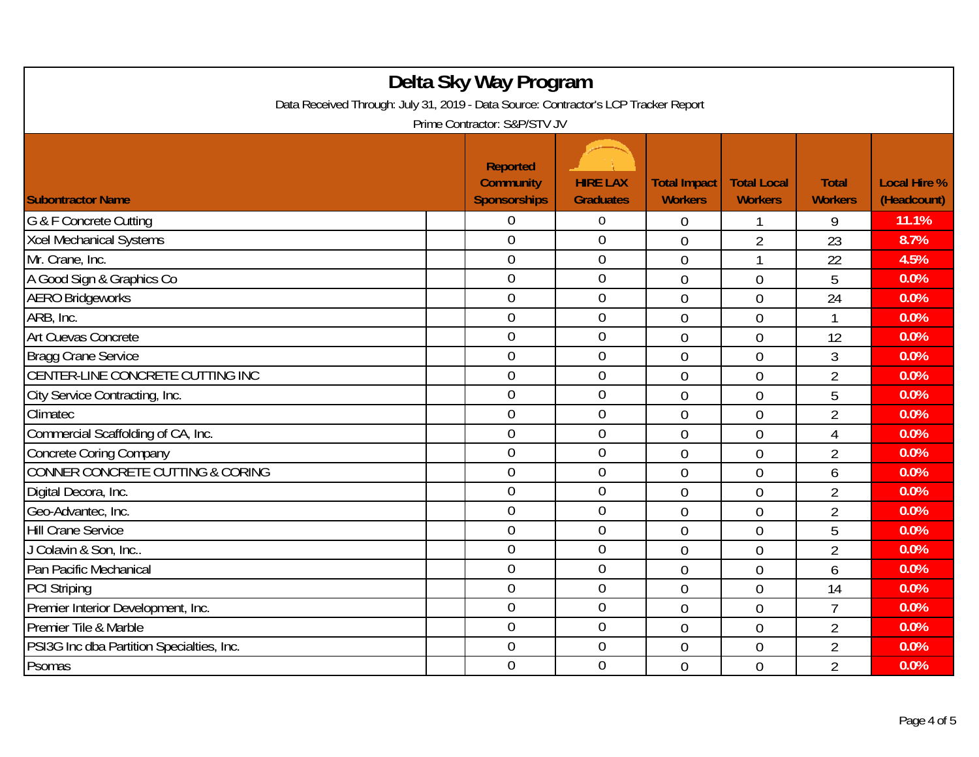| Delta Sky Way Program<br>Data Received Through: July 31, 2019 - Data Source: Contractor's LCP Tracker Report<br>Prime Contractor: S&P/STV JV |                                                            |                                     |                                       |                                      |                                |                                    |  |  |
|----------------------------------------------------------------------------------------------------------------------------------------------|------------------------------------------------------------|-------------------------------------|---------------------------------------|--------------------------------------|--------------------------------|------------------------------------|--|--|
| <b>Subontractor Name</b>                                                                                                                     | <b>Reported</b><br><b>Community</b><br><b>Sponsorships</b> | <b>HIRE LAX</b><br><b>Graduates</b> | <b>Total Impact</b><br><b>Workers</b> | <b>Total Local</b><br><b>Workers</b> | <b>Total</b><br><b>Workers</b> | <b>Local Hire %</b><br>(Headcount) |  |  |
| G & F Concrete Cutting                                                                                                                       | 0                                                          | $\boldsymbol{0}$                    | 0                                     |                                      | 9                              | 11.1%                              |  |  |
| Xcel Mechanical Systems                                                                                                                      | $\overline{0}$                                             | $\mathbf 0$                         | $\overline{0}$                        | $\overline{2}$                       | 23                             | 8.7%                               |  |  |
| Mr. Crane, Inc.                                                                                                                              | $\overline{0}$                                             | $\boldsymbol{0}$                    | $\overline{0}$                        | 1                                    | 22                             | 4.5%                               |  |  |
| A Good Sign & Graphics Co                                                                                                                    | $\mathbf 0$                                                | $\mathbf 0$                         | $\overline{0}$                        | 0                                    | 5                              | 0.0%                               |  |  |
| <b>AERO Bridgeworks</b>                                                                                                                      | $\overline{0}$                                             | $\overline{0}$                      | $\overline{0}$                        | $\overline{0}$                       | 24                             | 0.0%                               |  |  |
| ARB, Inc.                                                                                                                                    | $\mathbf 0$                                                | $\boldsymbol{0}$                    | $\overline{0}$                        | 0                                    |                                | 0.0%                               |  |  |
| Art Cuevas Concrete                                                                                                                          | $\mathbf 0$                                                | $\mathbf 0$                         | $\overline{0}$                        | 0                                    | 12                             | 0.0%                               |  |  |
| <b>Bragg Crane Service</b>                                                                                                                   | $\overline{0}$                                             | $\overline{0}$                      | $\overline{0}$                        | 0                                    | 3                              | 0.0%                               |  |  |
| CENTER-LINE CONCRETE CUTTING INC                                                                                                             | $\mathbf 0$                                                | $\boldsymbol{0}$                    | $\overline{0}$                        | $\overline{0}$                       | $\overline{2}$                 | 0.0%                               |  |  |
| City Service Contracting, Inc.                                                                                                               | $\overline{0}$                                             | $\boldsymbol{0}$                    | $\mathbf 0$                           | $\overline{0}$                       | 5                              | 0.0%                               |  |  |
| Climatec                                                                                                                                     | $\overline{0}$                                             | $\mathbf 0$                         | $\overline{0}$                        | $\overline{0}$                       | $\overline{2}$                 | 0.0%                               |  |  |
| Commercial Scaffolding of CA, Inc.                                                                                                           | $\overline{0}$                                             | $\mathbf 0$                         | $\overline{0}$                        | $\overline{0}$                       | 4                              | 0.0%                               |  |  |
| <b>Concrete Coring Company</b>                                                                                                               | $\overline{0}$                                             | $\overline{0}$                      | $\overline{0}$                        | 0                                    | $\overline{2}$                 | 0.0%                               |  |  |
| <b>CONNER CONCRETE CUTTING &amp; CORING</b>                                                                                                  | $\overline{0}$                                             | $\mathbf 0$                         | $\overline{0}$                        | 0                                    | 6                              | 0.0%                               |  |  |
| Digital Decora, Inc.                                                                                                                         | $\overline{0}$                                             | $\boldsymbol{0}$                    | $\overline{0}$                        | $\overline{0}$                       | $\overline{2}$                 | 0.0%                               |  |  |
| Geo-Advantec, Inc.                                                                                                                           | $\overline{0}$                                             | $\mathbf 0$                         | $\overline{0}$                        | 0                                    | $\overline{2}$                 | 0.0%                               |  |  |
| <b>Hill Crane Service</b>                                                                                                                    | $\overline{0}$                                             | $\mathbf 0$                         | $\overline{0}$                        | $\overline{0}$                       | 5                              | 0.0%                               |  |  |
| J Colavin & Son, Inc                                                                                                                         | $\overline{0}$                                             | $\mathbf 0$                         | $\overline{0}$                        | 0                                    | $\overline{2}$                 | 0.0%                               |  |  |
| Pan Pacific Mechanical                                                                                                                       | $\overline{0}$                                             | $\overline{0}$                      | $\overline{0}$                        | 0                                    | 6                              | 0.0%                               |  |  |
| <b>PCI Striping</b>                                                                                                                          | $\overline{0}$                                             | $\mathbf 0$                         | $\overline{0}$                        | $\overline{0}$                       | 14                             | 0.0%                               |  |  |
| Premier Interior Development, Inc.                                                                                                           | $\boldsymbol{0}$                                           | $\boldsymbol{0}$                    | $\overline{0}$                        | 0                                    | 7                              | 0.0%                               |  |  |
| Premier Tile & Marble                                                                                                                        | $\overline{0}$                                             | $\mathbf 0$                         | $\overline{0}$                        | $\overline{0}$                       | $\overline{2}$                 | 0.0%                               |  |  |
| PSI3G Inc dba Partition Specialties, Inc.                                                                                                    | $\overline{0}$                                             | $\mathbf 0$                         | $\overline{0}$                        | 0                                    | $\overline{2}$                 | 0.0%                               |  |  |
| Psomas                                                                                                                                       | $\mathbf 0$                                                | $\mathbf 0$                         | $\overline{0}$                        | 0                                    | $\overline{2}$                 | 0.0%                               |  |  |